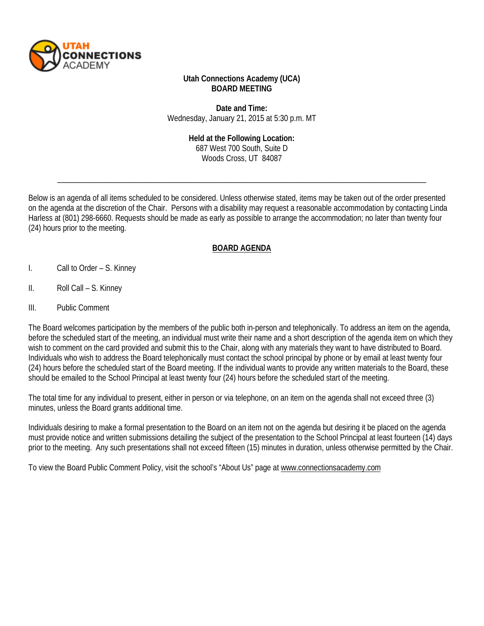

### **Utah Connections Academy (UCA) BOARD MEETING**

**Date and Time:** Wednesday, January 21, 2015 at 5:30 p.m. MT

#### **Held at the Following Location:**

687 West 700 South, Suite D Woods Cross, UT 84087

\_\_\_\_\_\_\_\_\_\_\_\_\_\_\_\_\_\_\_\_\_\_\_\_\_\_\_\_\_\_\_\_\_\_\_\_\_\_\_\_\_\_\_\_\_\_\_\_\_\_\_\_\_\_\_\_\_\_\_\_\_\_\_\_\_\_\_\_\_\_\_\_\_\_\_\_\_\_\_\_\_\_\_\_\_\_\_\_\_\_\_\_\_

Below is an agenda of all items scheduled to be considered. Unless otherwise stated, items may be taken out of the order presented on the agenda at the discretion of the Chair. Persons with a disability may request a reasonable accommodation by contacting Linda Harless at (801) 298-6660. Requests should be made as early as possible to arrange the accommodation; no later than twenty four (24) hours prior to the meeting.

## **BOARD AGENDA**

- I. Call to Order S. Kinney
- II. Roll Call S. Kinney
- III. Public Comment

The Board welcomes participation by the members of the public both in-person and telephonically. To address an item on the agenda, before the scheduled start of the meeting, an individual must write their name and a short description of the agenda item on which they wish to comment on the card provided and submit this to the Chair, along with any materials they want to have distributed to Board. Individuals who wish to address the Board telephonically must contact the school principal by phone or by email at least twenty four (24) hours before the scheduled start of the Board meeting. If the individual wants to provide any written materials to the Board, these should be emailed to the School Principal at least twenty four (24) hours before the scheduled start of the meeting.

The total time for any individual to present, either in person or via telephone, on an item on the agenda shall not exceed three (3) minutes, unless the Board grants additional time.

Individuals desiring to make a formal presentation to the Board on an item not on the agenda but desiring it be placed on the agenda must provide notice and written submissions detailing the subject of the presentation to the School Principal at least fourteen (14) days prior to the meeting. Any such presentations shall not exceed fifteen (15) minutes in duration, unless otherwise permitted by the Chair.

To view the Board Public Comment Policy, visit the school's "About Us" page at [www.connectionsacademy.com](http://www.connectionsacademy.com/)